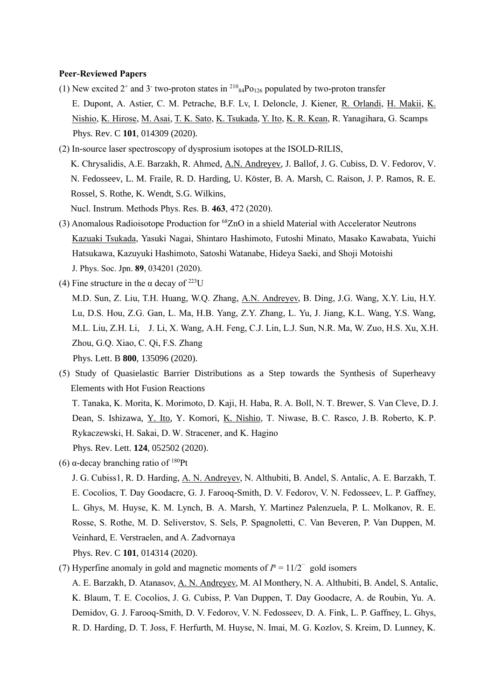#### **Peer-Reviewed Papers**

- (1) New excited  $2^+$  and  $3^-$  two-proton states in  $2^{10}_{84}$ Po<sub>126</sub> populated by two-proton transfer E. Dupont, A. Astier, C. M. Petrache, B.F. Lv, I. Deloncle, J. Kiener, R. Orlandi, H. Makii, K. Nishio, K. Hirose, M. Asai, T. K. Sato, K. Tsukada, Y. Ito, K. R. Kean, R. Yanagihara, G. Scamps Phys. Rev. C **101**, 014309 (2020).
- (2) In-source laser spectroscopy of dysprosium isotopes at the ISOLD-RILIS, K. Chrysalidis, A.E. Barzakh, R. Ahmed, A.N. Andreyev, J. Ballof, J. G. Cubiss, D. V. Fedorov, V. N. Fedosseev, L. M. Fraile, R. D. Harding, U. Köster, B. A. Marsh, C. Raison, J. P. Ramos, R. E. Rossel, S. Rothe, K. Wendt, S.G. Wilkins, Nucl. Instrum. Methods Phys. Res. B. **463**, 472 (2020).
- (3) Anomalous Radioisotope Production for <sup>68</sup>ZnO in a shield Material with Accelerator Neutrons Kazuaki Tsukada, Yasuki Nagai, Shintaro Hashimoto, Futoshi Minato, Masako Kawabata, Yuichi Hatsukawa, Kazuyuki Hashimoto, Satoshi Watanabe, Hideya Saeki, and Shoji Motoishi J. Phys. Soc. Jpn. **89**, 034201 (2020).
- (4) Fine structure in the  $\alpha$  decay of <sup>223</sup>U M.D. Sun, Z. Liu, T.H. Huang, W.Q. Zhang, A.N. Andreyev, B. Ding, J.G. Wang, X.Y. Liu, H.Y. Lu, D.S. Hou, Z.G. Gan, L. Ma, H.B. Yang, Z.Y. Zhang, L. Yu, J. Jiang, K.L. Wang, Y.S. Wang, M.L. Liu, Z.H. Li, J. Li, X. Wang, A.H. Feng, C.J. Lin, L.J. Sun, N.R. Ma, W. Zuo, H.S. Xu, X.H. Zhou, G.Q. Xiao, C. Qi, F.S. Zhang Phys. Lett. B **800**, 135096 (2020).
- (5) Study of Quasielastic Barrier Distributions as a Step towards the Synthesis of Superheavy Elements with Hot Fusion Reactions T. Tanaka, K. Morita, K. Morimoto, D. Kaji, H. Haba, R. A. Boll, N. T. Brewer, S. Van Cleve, D. J. Dean, S. Ishizawa, Y. Ito, Y. Komori, K. Nishio, T. Niwase, B. C. Rasco, J. B. Roberto, K. P. Rykaczewski, H. Sakai, D. W. Stracener, and K. Hagino Phys. Rev. Lett. **124**, 052502 (2020).
- (6) α-decay branching ratio of <sup>180</sup>Pt

Phys. Rev. C **101**, 014314 (2020).

(7) Hyperfine anomaly in gold and magnetic moments of  $I^{\pi} = 11/2^-$  gold isomers

A. E. Barzakh, D. Atanasov, A. N. Andreyev, M. Al Monthery, N. A. Althubiti, B. Andel, S. Antalic, K. Blaum, T. E. Cocolios, J. G. Cubiss, P. Van Duppen, T. Day Goodacre, A. de Roubin, Yu. A. Demidov, G. J. Farooq-Smith, D. V. Fedorov, V. N. Fedosseev, D. A. Fink, L. P. Gaffney, L. Ghys, R. D. Harding, D. T. Joss, F. Herfurth, M. Huyse, N. Imai, M. G. Kozlov, S. Kreim, D. Lunney, K.

J. G. Cubiss1, R. D. Harding, A. N. Andreyev, N. Althubiti, B. Andel, S. Antalic, A. E. Barzakh, T. E. Cocolios, T. Day Goodacre, G. J. Farooq-Smith, D. V. Fedorov, V. N. Fedosseev, L. P. Gaffney, L. Ghys, M. Huyse, K. M. Lynch, B. A. Marsh, Y. Martinez Palenzuela, P. L. Molkanov, R. E. Rosse, S. Rothe, M. D. Seliverstov, S. Sels, P. Spagnoletti, C. Van Beveren, P. Van Duppen, M. Veinhard, E. Verstraelen, and A. Zadvornaya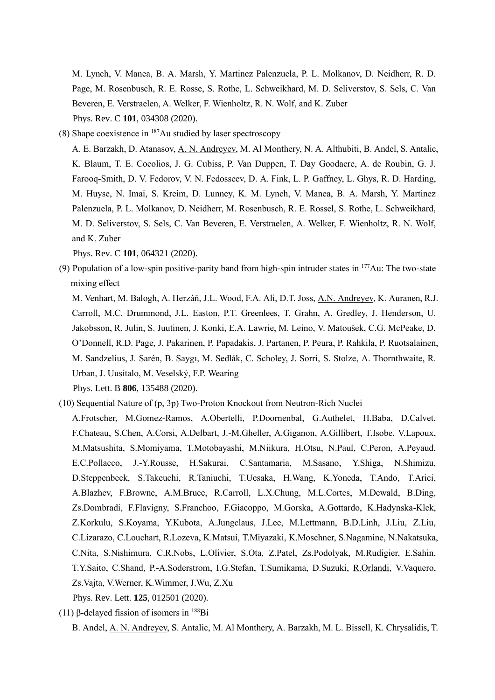M. Lynch, V. Manea, B. A. Marsh, Y. Martinez Palenzuela, P. L. Molkanov, D. Neidherr, R. D. Page, M. Rosenbusch, R. E. Rosse, S. Rothe, L. Schweikhard, M. D. Seliverstov, S. Sels, C. Van Beveren, E. Verstraelen, A. Welker, F. Wienholtz, R. N. Wolf, and K. Zuber Phys. Rev. C **101**, 034308 (2020).

(8) Shape coexistence in  $187$ Au studied by laser spectroscopy

A. E. Barzakh, D. Atanasov, A. N. Andreyev, M. Al Monthery, N. A. Althubiti, B. Andel, S. Antalic, K. Blaum, T. E. Cocolios, J. G. Cubiss, P. Van Duppen, T. Day Goodacre, A. de Roubin, G. J. Farooq-Smith, D. V. Fedorov, V. N. Fedosseev, D. A. Fink, L. P. Gaffney, L. Ghys, R. D. Harding, M. Huyse, N. Imai, S. Kreim, D. Lunney, K. M. Lynch, V. Manea, B. A. Marsh, Y. Martinez Palenzuela, P. L. Molkanov, D. Neidherr, M. Rosenbusch, R. E. Rossel, S. Rothe, L. Schweikhard, M. D. Seliverstov, S. Sels, C. Van Beveren, E. Verstraelen, A. Welker, F. Wienholtz, R. N. Wolf, and K. Zuber

Phys. Rev. C **101**, 064321 (2020).

(9) Population of a low-spin positive-parity band from high-spin intruder states in  $177\text{Au}$ : The two-state mixing effect

M. Venhart, M. Balogh, A. Herzáň, J.L. Wood, F.A. Ali, D.T. Joss, A.N. Andreyev, K. Auranen, R.J. Carroll, M.C. Drummond, J.L. Easton, P.T. Greenlees, T. Grahn, A. Gredley, J. Henderson, U. Jakobsson, R. Julin, S. Juutinen, J. Konki, E.A. Lawrie, M. Leino, V. Matoušek, C.G. McPeake, D. O'Donnell, R.D. Page, J. Pakarinen, P. Papadakis, J. Partanen, P. Peura, P. Rahkila, P. Ruotsalainen, M. Sandzelius, J. Sarén, B. Saygı, M. Sedlák, C. Scholey, J. Sorri, S. Stolze, A. Thornthwaite, R. Urban, J. Uusitalo, M. Veselský, F.P. Wearing

Phys. Lett. B **806**, 135488 (2020).

- (10) Sequential Nature of (p, 3p) Two-Proton Knockout from Neutron-Rich Nuclei
	- A.Frotscher, M.Gomez-Ramos, A.Obertelli, P.Doornenbal, G.Authelet, H.Baba, D.Calvet, F.Chateau, S.Chen, A.Corsi, A.Delbart, J.-M.Gheller, A.Giganon, A.Gillibert, T.Isobe, V.Lapoux, M.Matsushita, S.Momiyama, T.Motobayashi, M.Niikura, H.Otsu, N.Paul, C.Peron, A.Peyaud, E.C.Pollacco, J.-Y.Rousse, H.Sakurai, C.Santamaria, M.Sasano, Y.Shiga, N.Shimizu, D.Steppenbeck, S.Takeuchi, R.Taniuchi, T.Uesaka, H.Wang, K.Yoneda, T.Ando, T.Arici, A.Blazhev, F.Browne, A.M.Bruce, R.Carroll, L.X.Chung, M.L.Cortes, M.Dewald, B.Ding, Zs.Dombradi, F.Flavigny, S.Franchoo, F.Giacoppo, M.Gorska, A.Gottardo, K.Hadynska-Klek, Z.Korkulu, S.Koyama, Y.Kubota, A.Jungclaus, J.Lee, M.Lettmann, B.D.Linh, J.Liu, Z.Liu, C.Lizarazo, C.Louchart, R.Lozeva, K.Matsui, T.Miyazaki, K.Moschner, S.Nagamine, N.Nakatsuka, C.Nita, S.Nishimura, C.R.Nobs, L.Olivier, S.Ota, Z.Patel, Zs.Podolyak, M.Rudigier, E.Sahin, T.Y.Saito, C.Shand, P.-A.Soderstrom, I.G.Stefan, T.Sumikama, D.Suzuki, R.Orlandi, V.Vaquero, Zs.Vajta, V.Werner, K.Wimmer, J.Wu, Z.Xu

Phys. Rev. Lett. **125**, 012501 (2020).

<sup>(11)</sup> β-delayed fission of isomers in  $188Bi$ 

B. Andel, A. N. Andreyev, S. Antalic, M. Al Monthery, A. Barzakh, M. L. Bissell, K. Chrysalidis, T.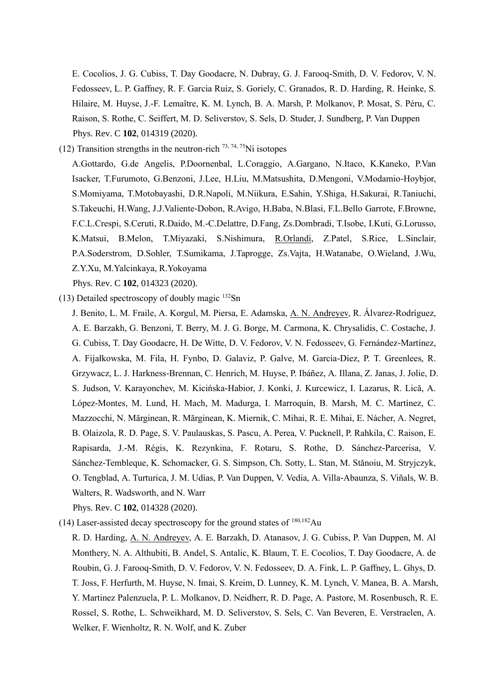E. Cocolios, J. G. Cubiss, T. Day Goodacre, N. Dubray, G. J. Farooq-Smith, D. V. Fedorov, V. N. Fedosseev, L. P. Gaffney, R. F. Garcia Ruiz, S. Goriely, C. Granados, R. D. Harding, R. Heinke, S. Hilaire, M. Huyse, J.-F. Lemaître, K. M. Lynch, B. A. Marsh, P. Molkanov, P. Mosat, S. Péru, C. Raison, S. Rothe, C. Seiffert, M. D. Seliverstov, S. Sels, D. Studer, J. Sundberg, P. Van Duppen Phys. Rev. C **102**, 014319 (2020).

(12) Transition strengths in the neutron-rich  $^{73, 74, 75}$ Ni isotopes

A.Gottardo, G.de Angelis, P.Doornenbal, L.Coraggio, A.Gargano, N.Itaco, K.Kaneko, P.Van Isacker, T.Furumoto, G.Benzoni, J.Lee, H.Liu, M.Matsushita, D.Mengoni, V.Modamio-Hoybjor, S.Momiyama, T.Motobayashi, D.R.Napoli, M.Niikura, E.Sahin, Y.Shiga, H.Sakurai, R.Taniuchi, S.Takeuchi, H.Wang, J.J.Valiente-Dobon, R.Avigo, H.Baba, N.Blasi, F.L.Bello Garrote, F.Browne, F.C.L.Crespi, S.Ceruti, R.Daido, M.-C.Delattre, D.Fang, Zs.Dombradi, T.Isobe, I.Kuti, G.Lorusso, K.Matsui, B.Melon, T.Miyazaki, S.Nishimura, R.Orlandi, Z.Patel, S.Rice, L.Sinclair, P.A.Soderstrom, D.Sohler, T.Sumikama, J.Taprogge, Zs.Vajta, H.Watanabe, O.Wieland, J.Wu, Z.Y.Xu, M.Yalcinkaya, R.Yokoyama

Phys. Rev. C **102**, 014323 (2020).

(13) Detailed spectroscopy of doubly magic  $^{132}Sn$ 

J. Benito, L. M. Fraile, A. Korgul, M. Piersa, E. Adamska, A. N. Andreyev, R. Álvarez-Rodríguez, A. E. Barzakh, G. Benzoni, T. Berry, M. J. G. Borge, M. Carmona, K. Chrysalidis, C. Costache, J. G. Cubiss, T. Day Goodacre, H. De Witte, D. V. Fedorov, V. N. Fedosseev, G. Fernández-Martínez, A. Fijałkowska, M. Fila, H. Fynbo, D. Galaviz, P. Galve, M. García-Díez, P. T. Greenlees, R. Grzywacz, L. J. Harkness-Brennan, C. Henrich, M. Huyse, P. Ibáñez, A. Illana, Z. Janas, J. Jolie, D. S. Judson, V. Karayonchev, M. Kicińska-Habior, J. Konki, J. Kurcewicz, I. Lazarus, R. Lică, A. López-Montes, M. Lund, H. Mach, M. Madurga, I. Marroquín, B. Marsh, M. C. Martínez, C. Mazzocchi, N. Mărginean, R. Mărginean, K. Miernik, C. Mihai, R. E. Mihai, E. Nácher, A. Negret, B. Olaizola, R. D. Page, S. V. Paulauskas, S. Pascu, A. Perea, V. Pucknell, P. Rahkila, C. Raison, E. Rapisarda, J.-M. Régis, K. Rezynkina, F. Rotaru, S. Rothe, D. Sánchez-Parcerisa, V. Sánchez-Tembleque, K. Schomacker, G. S. Simpson, Ch. Sotty, L. Stan, M. Stănoiu, M. Stryjczyk, O. Tengblad, A. Turturica, J. M. Udías, P. Van Duppen, V. Vedia, A. Villa-Abaunza, S. Viñals, W. B. Walters, R. Wadsworth, and N. Warr

Phys. Rev. C **102**, 014328 (2020).

(14) Laser-assisted decay spectroscopy for the ground states of  $180,182$ Au

R. D. Harding, A. N. Andreyev, A. E. Barzakh, D. Atanasov, J. G. Cubiss, P. Van Duppen, M. Al Monthery, N. A. Althubiti, B. Andel, S. Antalic, K. Blaum, T. E. Cocolios, T. Day Goodacre, A. de Roubin, G. J. Farooq-Smith, D. V. Fedorov, V. N. Fedosseev, D. A. Fink, L. P. Gaffney, L. Ghys, D. T. Joss, F. Herfurth, M. Huyse, N. Imai, S. Kreim, D. Lunney, K. M. Lynch, V. Manea, B. A. Marsh, Y. Martinez Palenzuela, P. L. Molkanov, D. Neidherr, R. D. Page, A. Pastore, M. Rosenbusch, R. E. Rossel, S. Rothe, L. Schweikhard, M. D. Seliverstov, S. Sels, C. Van Beveren, E. Verstraelen, A. Welker, F. Wienholtz, R. N. Wolf, and K. Zuber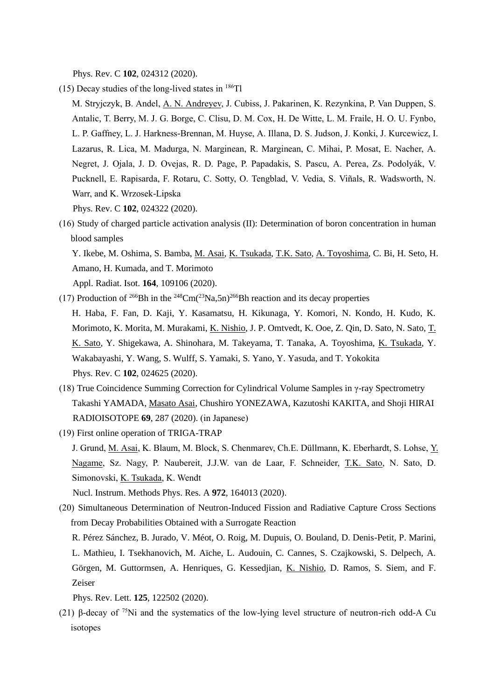Phys. Rev. C **102**, 024312 (2020).

- (15) Decay studies of the long-lived states in  $^{186}$ Tl
- M. Stryjczyk, B. Andel, A. N. Andreyev, J. Cubiss, J. Pakarinen, K. Rezynkina, P. Van Duppen, S. Antalic, T. Berry, M. J. G. Borge, C. Clisu, D. M. Cox, H. De Witte, L. M. Fraile, H. O. U. Fynbo, L. P. Gaffney, L. J. Harkness-Brennan, M. Huyse, A. Illana, D. S. Judson, J. Konki, J. Kurcewicz, I. Lazarus, R. Lica, M. Madurga, N. Marginean, R. Marginean, C. Mihai, P. Mosat, E. Nacher, A. Negret, J. Ojala, J. D. Ovejas, R. D. Page, P. Papadakis, S. Pascu, A. Perea, Zs. Podolyák, V. Pucknell, E. Rapisarda, F. Rotaru, C. Sotty, O. Tengblad, V. Vedia, S. Viñals, R. Wadsworth, N. Warr, and K. Wrzosek-Lipska Phys. Rev. C **102**, 024322 (2020).
- (16) Study of charged particle activation analysis (II): Determination of boron concentration in human blood samples

Y. Ikebe, M. Oshima, S. Bamba, M. Asai, K. Tsukada, T.K. Sato, A. Toyoshima, C. Bi, H. Seto, H. Amano, H. Kumada, and T. Morimoto

Appl. Radiat. Isot. **164**, 109106 (2020).

- (17) Production of <sup>266</sup>Bh in the <sup>248</sup>Cm<sup> $(23$ </sup>Na,5n<sup> $)$ 266</sup>Bh reaction and its decay properties H. Haba, F. Fan, D. Kaji, Y. Kasamatsu, H. Kikunaga, Y. Komori, N. Kondo, H. Kudo, K. Morimoto, K. Morita, M. Murakami, K. Nishio, J. P. Omtvedt, K. Ooe, Z. Qin, D. Sato, N. Sato, T. K. Sato, Y. Shigekawa, A. Shinohara, M. Takeyama, T. Tanaka, A. Toyoshima, K. Tsukada, Y. Wakabayashi, Y. Wang, S. Wulff, S. Yamaki, S. Yano, Y. Yasuda, and T. Yokokita Phys. Rev. C **102**, 024625 (2020).
- (18) True Coincidence Summing Correction for Cylindrical Volume Samples in γ-ray Spectrometry Takashi YAMADA, Masato Asai, Chushiro YONEZAWA, Kazutoshi KAKITA, and Shoji HIRAI RADIOISOTOPE **69**, 287 (2020). (in Japanese)
- (19) First online operation of TRIGA-TRAP
	- J. Grund, M. Asai, K. Blaum, M. Block, S. Chenmarev, Ch.E. Düllmann, K. Eberhardt, S. Lohse, Y. Nagame, Sz. Nagy, P. Naubereit, J.J.W. van de Laar, F. Schneider, T.K. Sato, N. Sato, D. Simonovski, K. Tsukada, K. Wendt

Nucl. Instrum. Methods Phys. Res. A **972**, 164013 (2020).

(20) Simultaneous Determination of Neutron-Induced Fission and Radiative Capture Cross Sections from Decay Probabilities Obtained with a Surrogate Reaction

R. Pérez Sánchez, B. Jurado, V. Méot, O. Roig, M. Dupuis, O. Bouland, D. Denis-Petit, P. Marini, L. Mathieu, I. Tsekhanovich, M. Aïche, L. Audouin, C. Cannes, S. Czajkowski, S. Delpech, A. Görgen, M. Guttormsen, A. Henriques, G. Kessedjian, K. Nishio, D. Ramos, S. Siem, and F. Zeiser

Phys. Rev. Lett. **125**, 122502 (2020).

(21) β-decay of  $75$ Ni and the systematics of the low-lying level structure of neutron-rich odd-A Cu isotopes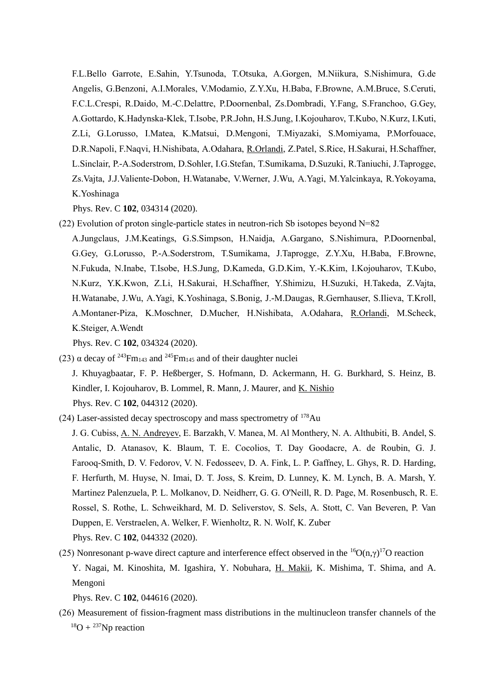F.L.Bello Garrote, E.Sahin, Y.Tsunoda, T.Otsuka, A.Gorgen, M.Niikura, S.Nishimura, G.de Angelis, G.Benzoni, A.I.Morales, V.Modamio, Z.Y.Xu, H.Baba, F.Browne, A.M.Bruce, S.Ceruti, F.C.L.Crespi, R.Daido, M.-C.Delattre, P.Doornenbal, Zs.Dombradi, Y.Fang, S.Franchoo, G.Gey, A.Gottardo, K.Hadynska-Klek, T.Isobe, P.R.John, H.S.Jung, I.Kojouharov, T.Kubo, N.Kurz, I.Kuti, Z.Li, G.Lorusso, I.Matea, K.Matsui, D.Mengoni, T.Miyazaki, S.Momiyama, P.Morfouace, D.R.Napoli, F.Naqvi, H.Nishibata, A.Odahara, R.Orlandi, Z.Patel, S.Rice, H.Sakurai, H.Schaffner, L.Sinclair, P.-A.Soderstrom, D.Sohler, I.G.Stefan, T.Sumikama, D.Suzuki, R.Taniuchi, J.Taprogge, Zs.Vajta, J.J.Valiente-Dobon, H.Watanabe, V.Werner, J.Wu, A.Yagi, M.Yalcinkaya, R.Yokoyama, K.Yoshinaga

Phys. Rev. C **102**, 034314 (2020).

(22) Evolution of proton single-particle states in neutron-rich Sb isotopes beyond N=82 A.Jungclaus, J.M.Keatings, G.S.Simpson, H.Naidja, A.Gargano, S.Nishimura, P.Doornenbal, G.Gey, G.Lorusso, P.-A.Soderstrom, T.Sumikama, J.Taprogge, Z.Y.Xu, H.Baba, F.Browne, N.Fukuda, N.Inabe, T.Isobe, H.S.Jung, D.Kameda, G.D.Kim, Y.-K.Kim, I.Kojouharov, T.Kubo, N.Kurz, Y.K.Kwon, Z.Li, H.Sakurai, H.Schaffner, Y.Shimizu, H.Suzuki, H.Takeda, Z.Vajta, H.Watanabe, J.Wu, A.Yagi, K.Yoshinaga, S.Bonig, J.-M.Daugas, R.Gernhauser, S.Ilieva, T.Kroll,

A.Montaner-Piza, K.Moschner, D.Mucher, H.Nishibata, A.Odahara, R.Orlandi, M.Scheck, K.Steiger, A.Wendt

Phys. Rev. C **102**, 034324 (2020).

(23)  $\alpha$  decay of <sup>243</sup>Fm<sub>143</sub> and <sup>245</sup>Fm<sub>145</sub> and of their daughter nuclei

J. Khuyagbaatar, F. P. Heßberger, S. Hofmann, D. Ackermann, H. G. Burkhard, S. Heinz, B. Kindler, I. Kojouharov, B. Lommel, R. Mann, J. Maurer, and K. Nishio Phys. Rev. C **102**, 044312 (2020).

(24) Laser-assisted decay spectroscopy and mass spectrometry of <sup>178</sup>Au

J. G. Cubiss, A. N. Andreyev, E. Barzakh, V. Manea, M. Al Monthery, N. A. Althubiti, B. Andel, S. Antalic, D. Atanasov, K. Blaum, T. E. Cocolios, T. Day Goodacre, A. de Roubin, G. J. Farooq-Smith, D. V. Fedorov, V. N. Fedosseev, D. A. Fink, L. P. Gaffney, L. Ghys, R. D. Harding, F. Herfurth, M. Huyse, N. Imai, D. T. Joss, S. Kreim, D. Lunney, K. M. Lynch, B. A. Marsh, Y. Martinez Palenzuela, P. L. Molkanov, D. Neidherr, G. G. O'Neill, R. D. Page, M. Rosenbusch, R. E. Rossel, S. Rothe, L. Schweikhard, M. D. Seliverstov, S. Sels, A. Stott, C. Van Beveren, P. Van Duppen, E. Verstraelen, A. Welker, F. Wienholtz, R. N. Wolf, K. Zuber Phys. Rev. C **102**, 044332 (2020).

(25) Nonresonant p-wave direct capture and interference effect observed in the  ${}^{16}O(n, \gamma) {}^{17}O$  reaction Y. Nagai, M. Kinoshita, M. Igashira, Y. Nobuhara, H. Makii, K. Mishima, T. Shima, and A. Mengoni

Phys. Rev. C **102**, 044616 (2020).

(26) Measurement of fission-fragment mass distributions in the multinucleon transfer channels of the  $^{18}O + {^{237}Np}$  reaction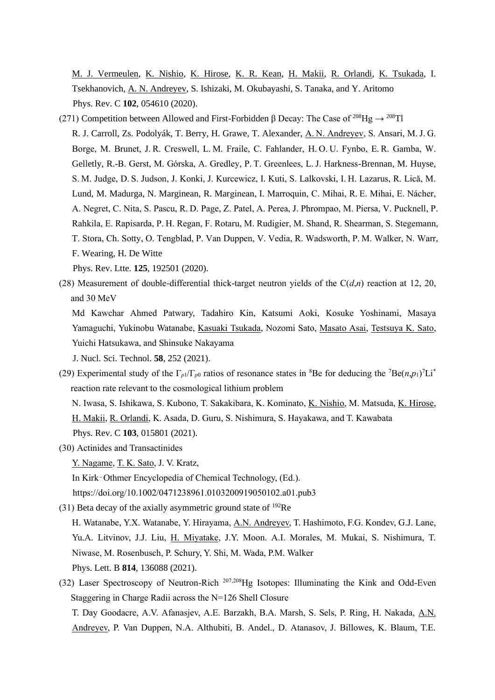M. J. Vermeulen, K. Nishio, K. Hirose, K. R. Kean, H. Makii, R. Orlandi, K. Tsukada, I. Tsekhanovich, A. N. Andreyev, S. Ishizaki, M. Okubayashi, S. Tanaka, and Y. Aritomo Phys. Rev. C **102**, 054610 (2020).

(271) Competition between Allowed and First-Forbidden β Decay: The Case of <sup>208</sup>Hg  $\rightarrow$  <sup>208</sup>Tl R. J. Carroll, Zs. Podolyák, T. Berry, H. Grawe, T. Alexander, A. N. Andreyev, S. Ansari, M. J. G. Borge, M. Brunet, J. R. Creswell, L. M. Fraile, C. Fahlander, H. O. U. Fynbo, E. R. Gamba, W. Gelletly, R.-B. Gerst, M. Górska, A. Gredley, P. T. Greenlees, L. J. Harkness-Brennan, M. Huyse, S. M. Judge, D. S. Judson, J. Konki, J. Kurcewicz, I. Kuti, S. Lalkovski, I. H. Lazarus, R. Lică, M. Lund, M. Madurga, N. Marginean, R. Marginean, I. Marroquin, C. Mihai, R. E. Mihai, E. Nácher, A. Negret, C. Nita, S. Pascu, R. D. Page, Z. Patel, A. Perea, J. Phrompao, M. Piersa, V. Pucknell, P. Rahkila, E. Rapisarda, P. H. Regan, F. Rotaru, M. Rudigier, M. Shand, R. Shearman, S. Stegemann, T. Stora, Ch. Sotty, O. Tengblad, P. Van Duppen, V. Vedia, R. Wadsworth, P. M. Walker, N. Warr, F. Wearing, H. De Witte

Phys. Rev. Ltte. **125**, 192501 (2020).

(28) Measurement of double-differential thick-target neutron yields of the  $C(d,n)$  reaction at 12, 20, and 30 MeV

Md Kawchar Ahmed Patwary, Tadahiro Kin, Katsumi Aoki, Kosuke Yoshinami, Masaya Yamaguchi, Yukinobu Watanabe, Kasuaki Tsukada, Nozomi Sato, Masato Asai, Testsuya K. Sato, Yuichi Hatsukawa, and Shinsuke Nakayama J. Nucl. Sci. Technol. **58**, 252 (2021).

(29) Experimental study of the  $\Gamma_{p1}/\Gamma_{p0}$  ratios of resonance states in <sup>8</sup>Be for deducing the <sup>7</sup>Be(*n*,*p*<sub>1</sub>)<sup>7</sup>Li<sup>\*</sup>

reaction rate relevant to the cosmological lithium problem N. Iwasa, S. Ishikawa, S. Kubono, T. Sakakibara, K. Kominato, K. Nishio, M. Matsuda, K. Hirose, H. Makii, R. Orlandi, K. Asada, D. Guru, S. Nishimura, S. Hayakawa, and T. Kawabata Phys. Rev. C **103**, 015801 (2021).

(30) Actinides and Transactinides

Y. Nagame, T. K. Sato, J. V. Kratz,

In Kirk‐Othmer Encyclopedia of Chemical Technology, (Ed.).

https://doi.org/10.1002/0471238961.0103200919050102.a01.pub3

(31) Beta decay of the axially asymmetric ground state of  $192$ Re

H. Watanabe, Y.X. Watanabe, Y. Hirayama, A.N. Andreyev, T. Hashimoto, F.G. Kondev, G.J. Lane, Yu.A. Litvinov, J.J. Liu, H. Miyatake, J.Y. Moon. A.I. Morales, M. Mukai, S. Nishimura, T. Niwase, M. Rosenbusch, P. Schury, Y. Shi, M. Wada, P.M. Walker Phys. Lett. B **814**, 136088 (2021).

(32) Laser Spectroscopy of Neutron-Rich 207,208Hg Isotopes: Illuminating the Kink and Odd-Even Staggering in Charge Radii across the N=126 Shell Closure

T. Day Goodacre, A.V. Afanasjev, A.E. Barzakh, B.A. Marsh, S. Sels, P. Ring, H. Nakada, A.N. Andreyev, P. Van Duppen, N.A. Althubiti, B. Andel., D. Atanasov, J. Billowes, K. Blaum, T.E.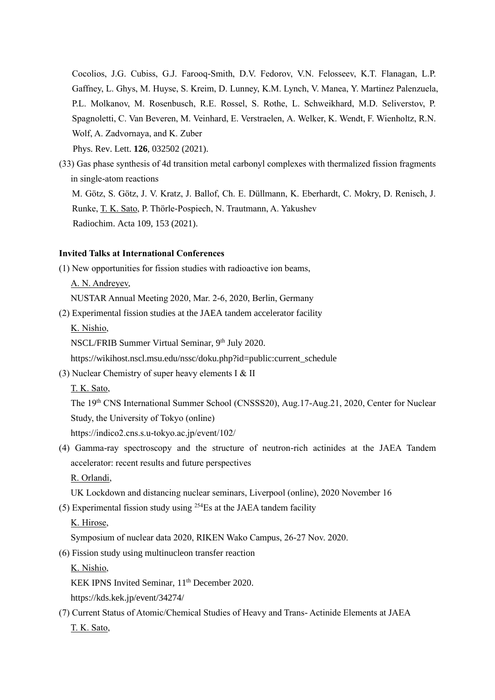Cocolios, J.G. Cubiss, G.J. Farooq-Smith, D.V. Fedorov, V.N. Felosseev, K.T. Flanagan, L.P. Gaffney, L. Ghys, M. Huyse, S. Kreim, D. Lunney, K.M. Lynch, V. Manea, Y. Martinez Palenzuela, P.L. Molkanov, M. Rosenbusch, R.E. Rossel, S. Rothe, L. Schweikhard, M.D. Seliverstov, P. Spagnoletti, C. Van Beveren, M. Veinhard, E. Verstraelen, A. Welker, K. Wendt, F. Wienholtz, R.N. Wolf, A. Zadvornaya, and K. Zuber Phys. Rev. Lett. **126**, 032502 (2021).

(33) Gas phase synthesis of 4d transition metal carbonyl complexes with thermalized fission fragments in single-atom reactions M. Götz, S. Götz, J. V. Kratz, J. Ballof, Ch. E. Düllmann, K. Eberhardt, C. Mokry, D. Renisch, J.

Runke, T. K. Sato, P. Thörle-Pospiech, N. Trautmann, A. Yakushev Radiochim. Acta 109, 153 (2021).

### **Invited Talks at International Conferences**

(1) New opportunities for fission studies with radioactive ion beams,

A. N. Andreyev,

NUSTAR Annual Meeting 2020, Mar. 2-6, 2020, Berlin, Germany

(2) Experimental fission studies at the JAEA tandem accelerator facility

K. Nishio,

NSCL/FRIB Summer Virtual Seminar, 9th July 2020.

https://wikihost.nscl.msu.edu/nssc/doku.php?id=public:current\_schedule

(3) Nuclear Chemistry of super heavy elements I  $&$  II

T. K. Sato,

The 19th CNS International Summer School (CNSSS20), Aug.17-Aug.21, 2020, Center for Nuclear Study, the University of Tokyo (online)

https://indico2.cns.s.u-tokyo.ac.jp/event/102/

(4) Gamma-ray spectroscopy and the structure of neutron-rich actinides at the JAEA Tandem accelerator: recent results and future perspectives

R. Orlandi,

UK Lockdown and distancing nuclear seminars, Liverpool (online), 2020 November 16

(5) Experimental fission study using  $254$ Es at the JAEA tandem facility

K. Hirose,

Symposium of nuclear data 2020, RIKEN Wako Campus, 26-27 Nov. 2020.

(6) Fission study using multinucleon transfer reaction

K. Nishio,

KEK IPNS Invited Seminar, 11<sup>th</sup> December 2020.

https://kds.kek.jp/event/34274/

(7) Current Status of Atomic/Chemical Studies of Heavy and Trans- Actinide Elements at JAEA T. K. Sato,